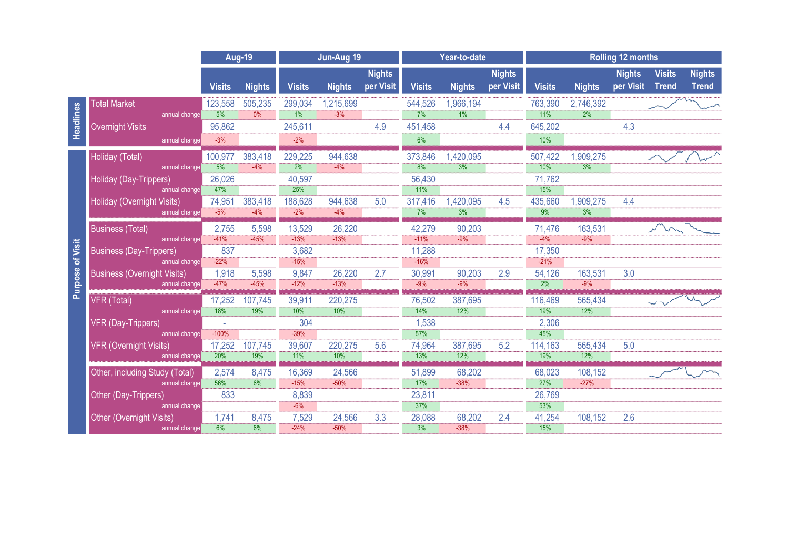|                     |                                                  |                 | <b>Aug-19</b>    | Jun-Aug 19        |                  |                            | Year-to-date     |                               |                            | <b>Rolling 12 months</b> |                                |                            |                               |                               |  |
|---------------------|--------------------------------------------------|-----------------|------------------|-------------------|------------------|----------------------------|------------------|-------------------------------|----------------------------|--------------------------|--------------------------------|----------------------------|-------------------------------|-------------------------------|--|
|                     |                                                  | <b>Visits</b>   | <b>Nights</b>    | <b>Visits</b>     | <b>Nights</b>    | <b>Nights</b><br>per Visit | <b>Visits</b>    | <b>Nights</b>                 | <b>Nights</b><br>per Visit | <b>Visits</b>            | <b>Nights</b>                  | <b>Nights</b><br>per Visit | <b>Visits</b><br><b>Trend</b> | <b>Nights</b><br><b>Trend</b> |  |
| Headlines           | <b>Total Market</b>                              | 123,558         | 505,235          | 299,034           | 1,215,699        |                            | 544,526          | 1,966,194                     |                            | 763,390                  | 2,746,392                      |                            |                               |                               |  |
|                     | annual change                                    | 5%              | 0%               | $1\%$             | $-3%$            |                            | 7%               | $1\%$                         |                            | $11\%$                   | $2\%$                          |                            |                               |                               |  |
|                     | <b>Overnight Visits</b>                          | 95,862          |                  | 245,611           |                  | 4.9                        | 451,458          |                               | 4.4                        | 645,202                  |                                | 4.3                        |                               |                               |  |
|                     | annual change                                    | $-3%$           |                  | $-2%$             |                  |                            | 6%               |                               |                            | 10%                      |                                |                            |                               |                               |  |
| of Visit<br>Purpose | Holiday (Total)                                  | 100,977         | 383,418          | 229,225           | 944,638          |                            | 373,846          | 1,420,095                     |                            | 507,422                  | 1,909,275                      |                            |                               |                               |  |
|                     | annual change                                    | $\frac{1}{5\%}$ | $-4%$            | 2%                | $-4%$            |                            | 8%               | 3%                            |                            | 10%                      | 3%                             |                            |                               |                               |  |
|                     | Holiday (Day-Trippers)                           | 26,026          |                  | 40,597            |                  |                            | 56,430           |                               |                            | 71,762                   |                                |                            |                               |                               |  |
|                     | annual change                                    | 47%             |                  | 25%               |                  |                            | 11%              |                               |                            | 15%                      |                                |                            |                               |                               |  |
|                     | Holiday (Overnight Visits)<br>annual change      | 74,951<br>$-5%$ | 383,418<br>$-4%$ | 188,628<br>$-2\%$ | 944,638<br>$-4%$ | 5.0                        | 317,416<br>7%    | 1,420,095<br>$\overline{3\%}$ | 4.5                        | 435,660<br>9%            | 1,909,275<br>$\frac{3\%}{3\%}$ | 4.4                        |                               |                               |  |
|                     |                                                  |                 |                  |                   |                  |                            |                  |                               |                            |                          |                                |                            |                               |                               |  |
|                     | <b>Business (Total)</b>                          | 2,755<br>$-41%$ | 5,598            | 13,529            | 26,220           |                            | 42,279           | 90,203<br>$-9%$               |                            | 71,476<br>$-4%$          | 163,531<br>$-9%$               |                            |                               |                               |  |
|                     | annual change<br><b>Business (Day-Trippers)</b>  | 837             | $-45%$           | $-13%$<br>3,682   | $-13%$           |                            | $-11%$<br>11,288 |                               |                            | 17,350                   |                                |                            |                               |                               |  |
|                     | annual change                                    | $-22%$          |                  | $-15%$            |                  |                            | $-16%$           |                               |                            | $-21%$                   |                                |                            |                               |                               |  |
|                     | <b>Business (Overnight Visits)</b>               | 1,918           | 5,598            | 9,847             | 26,220           | 2.7                        | 30,991           | 90,203                        | 2.9                        | 54,126                   | 163,531                        | 3.0                        |                               |                               |  |
|                     | annual change                                    | $-47%$          | $-45%$           | $-12%$            | $-13%$           |                            | $-9%$            | $-9%$                         |                            | 2%                       | $-9%$                          |                            |                               |                               |  |
|                     | VFR (Total)                                      | 17,252          | 107,745          | 39,911            | 220,275          |                            | 76,502           | 387,695                       |                            | 116,469                  | 565,434                        |                            |                               |                               |  |
|                     | annual change                                    | 18%             | 19%              | 10%               | 10%              |                            | 14%              | 12%                           |                            | 19%                      | 12%                            |                            |                               |                               |  |
|                     | VFR (Day-Trippers)                               |                 |                  | 304               |                  |                            | 1,538            |                               |                            | 2,306                    |                                |                            |                               |                               |  |
|                     | annual change                                    | $-100%$         |                  | $-39%$            |                  |                            | 57%              |                               |                            | 45%                      |                                |                            |                               |                               |  |
|                     | <b>VFR (Overnight Visits)</b>                    | 17,252          | 107,745          | 39,607            | 220,275          | 5.6                        | 74,964           | 387,695                       | 5.2                        | 114,163                  | 565,434                        | 5.0                        |                               |                               |  |
|                     | annual change                                    | 20%             | 19%              | 11%               | 10%              |                            | 13%              | 12%                           |                            | 19%                      | 12%                            |                            |                               |                               |  |
|                     | Other, including Study (Total)                   | 2,574           | 8,475            | 16,369            | 24,566           |                            | 51,899           | 68,202                        |                            | 68,023                   | 108,152                        |                            |                               |                               |  |
|                     | annual change                                    | 56%             | 6%               | $-15%$            | $-50%$           |                            | 17%              | $-38%$                        |                            | 27%                      | $-27%$                         |                            |                               |                               |  |
|                     | Other (Day-Trippers)                             | 833             |                  | 8,839             |                  |                            | 23,811           |                               |                            | 26,769                   |                                |                            |                               |                               |  |
|                     | annual change                                    | 1.741           | 8,475            | $-6%$<br>7,529    | 24,566           | 3.3                        | 37%<br>28,088    | 68,202                        | 2.4                        | 53%<br>41,254            | 108,152                        | 2.6                        |                               |                               |  |
|                     | <b>Other (Overnight Visits)</b><br>annual change | 6%              | 6%               | $-24%$            | $-50%$           |                            | 3%               | $-38%$                        |                            | 15%                      |                                |                            |                               |                               |  |
|                     |                                                  |                 |                  |                   |                  |                            |                  |                               |                            |                          |                                |                            |                               |                               |  |